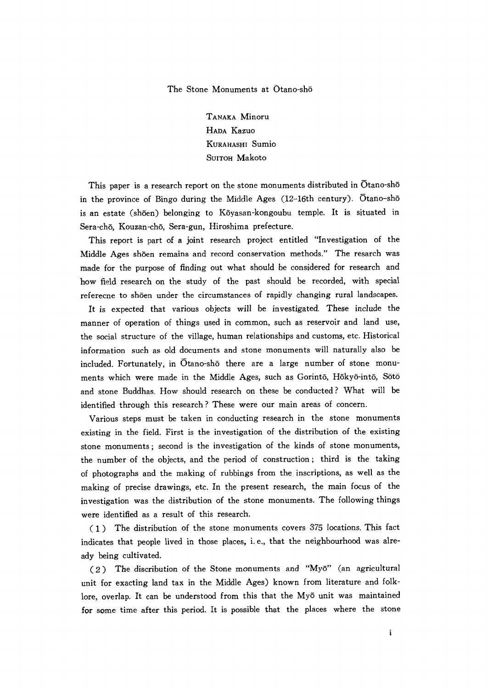The Stone Monuments at Otano-sh6

TANAKA Minoru HADA Kazuo KuRAHAsHI Sumio SUITOH Makoto

 This paper is a research report on the stone monuments distributed in Otano-shδ in the province of Bingo during the Middle Ages (12-16th century). Otano-sho is an estate (shōen) belonging to Kōyasan-kongoubu temple. It is situated in Sera-ch6, Kouzan-ch6, Sera-gun, Hiroshima prefecture.

 This report is part of a joint research project entitled ''lnvestigation of the Middle Ages shδen remains and record conservation methods."The resarch was made for the purpose of finding out what shouid be considered for research and how field research on the study of the past should be recorded, with special referecne to shδen mder the circumstances of rapidly changing rural landscapes.

 It is expected that various objects will be mvestigated. These include the manner of operation of things used in common, such as reservoir and land use, the social structure of the village, human relationships and customs, etc. Historical information such as old documents and stone monuments will naturally also be included. Fortunately, in  $\overline{O}$ tano-sh $\overline{O}$  there are a large number of stone monuments which were made in the Middle Ages, such as Gorintō, Hōkyō-intō, Sōtō and stone Buddhas. How should research on these be conducted? What will be identified through this research? These were our main areas of concern.

Various steps must be taken in conducting research in the stone monuments existing in the field. First is the investigation of the distribution of the existing stone monuments; second is the investigation of the kinds of stone monuments, the number of the objects, and the period of construction; third is the taking of photographs and the making of rubbings from the inscriptions, as well as the making of precise drawings, etc. In the present research, the main focus of the investigation was the distribution of the stone monuments. The following things were identified as a result of this research.

 $(1)$  The distribution of the stone monuments covers 375 locations. This fact indicates that people lived in those places, i.e., that the neighbourhood was already being cultivated.

(2) The discribution of the Stone monuments and "Myō" (an agricultural unit for exacting land tax in the Middle Ages) known from literature and folklore, overlap. It can be understood from this that the Myō unit was maintained for some time after this period. It is possible that the places where the stone